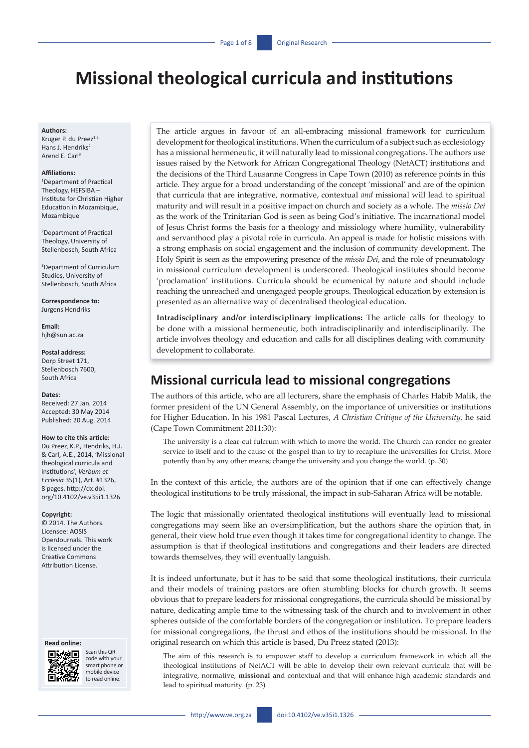# **Missional theological curricula and institutions**

#### **Authors:**

Kruger P. du Preez<sup>1,2</sup> Hans J. Hendriks<sup>2</sup> Arend E. Carl3

#### **Affiliations:**

1 Department of Practical Theology, HEFSIBA – Institute for Christian Higher Education in Mozambique, Mozambique

2 Department of Practical Theology, University of Stellenbosch, South Africa

3 Department of Curriculum Studies, University of Stellenbosch, South Africa

**Correspondence to:** Jurgens Hendriks

**Email:** [hjh@sun.ac.za](mailto:Hjh@sun.ac.za)

#### **Postal address:**

Dorp Street 171, Stellenbosch 7600, South Africa

#### **Dates:**

Received: 27 Jan. 2014 Accepted: 30 May 2014 Published: 20 Aug. 2014

#### **How to cite this article:**

Du Preez, K.P., Hendriks, H.J. & Carl, A.E., 2014, 'Missional theological curricula and institutions', *Verbum et Ecclesia* 35(1), Art. #1326, 8 pages. [http://dx.doi.](http://dx.doi.org/10.4102/ve.v35i1.1326) [org/10.4102/ve.v35i1.1326](http://dx.doi.org/10.4102/ve.v35i1.1326)

#### **Copyright:**

© 2014. The Authors. Licensee: AOSIS OpenJournals. This work is licensed under the Creative Commons Attribution License.

#### **Read online:**



Scan this OR code with your smart phone or mobile device to read online.

The article argues in favour of an all-embracing missional framework for curriculum development for theological institutions. When the curriculum of a subject such as ecclesiology has a missional hermeneutic, it will naturally lead to missional congregations. The authors use issues raised by the Network for African Congregational Theology (NetACT) institutions and the decisions of the Third Lausanne Congress in Cape Town (2010) as reference points in this article. They argue for a broad understanding of the concept 'missional' and are of the opinion that curricula that are integrative, normative, contextual *and* missional will lead to spiritual maturity and will result in a positive impact on church and society as a whole. The *missio Dei*  as the work of the Trinitarian God is seen as being God's initiative. The incarnational model of Jesus Christ forms the basis for a theology and missiology where humility, vulnerability and servanthood play a pivotal role in curricula. An appeal is made for holistic missions with a strong emphasis on social engagement and the inclusion of community development. The Holy Spirit is seen as the empowering presence of the *missio Dei*, and the role of pneumatology in missional curriculum development is underscored. Theological institutes should become 'proclamation' institutions. Curricula should be ecumenical by nature and should include reaching the unreached and unengaged people groups. Theological education by extension is presented as an alternative way of decentralised theological education.

**Intradisciplinary and/or interdisciplinary implications:** The article calls for theology to be done with a missional hermeneutic, both intradisciplinarily and interdisciplinarily. The article involves theology and education and calls for all disciplines dealing with community development to collaborate.

### **Missional curricula lead to missional congregations**

The authors of this article, who are all lecturers, share the emphasis of Charles Habib Malik, the former president of the UN General Assembly, on the importance of universities or institutions for Higher Education. In his 1981 Pascal Lectures, *A Christian Critique of the University,* he said (Cape Town Commitment 2011:30):

The university is a clear-cut fulcrum with which to move the world. The Church can render no greater service to itself and to the cause of the gospel than to try to recapture the universities for Christ. More potently than by any other means; change the university and you change the world. (p. 30)

In the context of this article, the authors are of the opinion that if one can effectively change theological institutions to be truly missional, the impact in sub-Saharan Africa will be notable.

The logic that missionally orientated theological institutions will eventually lead to missional congregations may seem like an oversimplification, but the authors share the opinion that, in general, their view hold true even though it takes time for congregational identity to change. The assumption is that if theological institutions and congregations and their leaders are directed towards themselves, they will eventually languish.

It is indeed unfortunate, but it has to be said that some theological institutions, their curricula and their models of training pastors are often stumbling blocks for church growth. It seems obvious that to prepare leaders for missional congregations, the curricula should be missional by nature, dedicating ample time to the witnessing task of the church and to involvement in other spheres outside of the comfortable borders of the congregation or institution. To prepare leaders for missional congregations, the thrust and ethos of the institutions should be missional. In the original research on which this article is based, Du Preez stated (2013):

The aim of this research is to empower staff to develop a curriculum framework in which all the theological institutions of NetACT will be able to develop their own relevant curricula that will be integrative, normative, **missional** and contextual and that will enhance high academic standards and lead to spiritual maturity. (p. 23)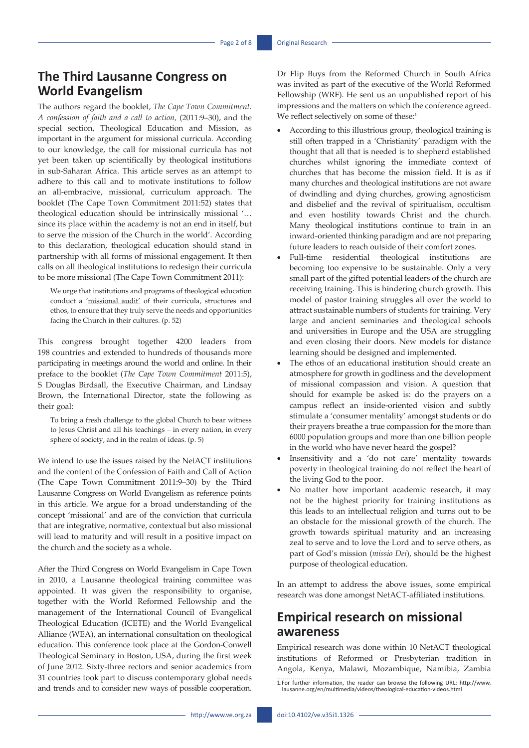### **The Third Lausanne Congress on World Evangelism**

The authors regard the booklet, *The Cape Town Commitment: A confession of faith and a call to action,* (2011:9–30), and the special section, Theological Education and Mission, as important in the argument for missional curricula. According to our knowledge, the call for missional curricula has not yet been taken up scientifically by theological institutions in sub-Saharan Africa. This article serves as an attempt to adhere to this call and to motivate institutions to follow an all-embracive, missional, curriculum approach. The booklet (The Cape Town Commitment 2011:52) states that theological education should be intrinsically missional '… since its place within the academy is not an end in itself, but to serve the mission of the Church in the world'. According to this declaration, theological education should stand in partnership with all forms of missional engagement. It then calls on all theological institutions to redesign their curricula to be more missional (The Cape Town Commitment 2011):

We urge that institutions and programs of theological education conduct a 'missional audit' of their curricula, structures and ethos, to ensure that they truly serve the needs and opportunities facing the Church in their cultures. (p. 52)

This congress brought together 4200 leaders from 198 countries and extended to hundreds of thousands more participating in meetings around the world and online. In their preface to the booklet (*The Cape Town Commitment* 2011:5), S Douglas Birdsall, the Executive Chairman, and Lindsay Brown, the International Director, state the following as their goal:

To bring a fresh challenge to the global Church to bear witness to Jesus Christ and all his teachings – in every nation, in every sphere of society, and in the realm of ideas. (p. 5)

We intend to use the issues raised by the NetACT institutions and the content of the Confession of Faith and Call of Action (The Cape Town Commitment 2011:9–30) by the Third Lausanne Congress on World Evangelism as reference points in this article. We argue for a broad understanding of the concept 'missional' and are of the conviction that curricula that are integrative, normative, contextual but also missional will lead to maturity and will result in a positive impact on the church and the society as a whole.

After the Third Congress on World Evangelism in Cape Town in 2010, a Lausanne theological training committee was appointed. It was given the responsibility to organise, together with the World Reformed Fellowship and the management of the International Council of Evangelical Theological Education (ICETE) and the World Evangelical Alliance (WEA), an international consultation on theological education. This conference took place at the Gordon-Conwell Theological Seminary in Boston, USA, during the first week of June 2012. Sixty-three rectors and senior academics from 31 countries took part to discuss contemporary global needs and trends and to consider new ways of possible cooperation.

Dr Flip Buys from the Reformed Church in South Africa was invited as part of the executive of the World Reformed Fellowship (WRF). He sent us an unpublished report of his impressions and the matters on which the conference agreed. We reflect selectively on some of these:<sup>1</sup>

- According to this illustrious group, theological training is still often trapped in a 'Christianity' paradigm with the thought that all that is needed is to shepherd established churches whilst ignoring the immediate context of churches that has become the mission field. It is as if many churches and theological institutions are not aware of dwindling and dying churches, growing agnosticism and disbelief and the revival of spiritualism, occultism and even hostility towards Christ and the church. Many theological institutions continue to train in an inward-oriented thinking paradigm and are not preparing future leaders to reach outside of their comfort zones.
- Full-time residential theological institutions are becoming too expensive to be sustainable. Only a very small part of the gifted potential leaders of the church are receiving training. This is hindering church growth. This model of pastor training struggles all over the world to attract sustainable numbers of students for training. Very large and ancient seminaries and theological schools and universities in Europe and the USA are struggling and even closing their doors. New models for distance learning should be designed and implemented.
- The ethos of an educational institution should create an atmosphere for growth in godliness and the development of missional compassion and vision. A question that should for example be asked is: do the prayers on a campus reflect an inside-oriented vision and subtly stimulate a 'consumer mentality' amongst students or do their prayers breathe a true compassion for the more than 6000 population groups and more than one billion people in the world who have never heard the gospel?
- Insensitivity and a 'do not care' mentality towards poverty in theological training do not reflect the heart of the living God to the poor.
- No matter how important academic research, it may not be the highest priority for training institutions as this leads to an intellectual religion and turns out to be an obstacle for the missional growth of the church. The growth towards spiritual maturity and an increasing zeal to serve and to love the Lord and to serve others, as part of God's mission (*missio Dei*), should be the highest purpose of theological education.

In an attempt to address the above issues, some empirical research was done amongst NetACT-affiliated institutions.

## **Empirical research on missional awareness**

Empirical research was done within 10 NetACT theological institutions of Reformed or Presbyterian tradition in Angola, Kenya, Malawi, Mozambique, Namibia, Zambia

<sup>1.</sup>For further information, the reader can browse the following URL: [http://www.](http://www.lausanne.org/en/multimedia/videos/theological-education-videos.html) [lausanne.org/en/multimedia/videos/theological-education-videos.html](http://www.lausanne.org/en/multimedia/videos/theological-education-videos.html)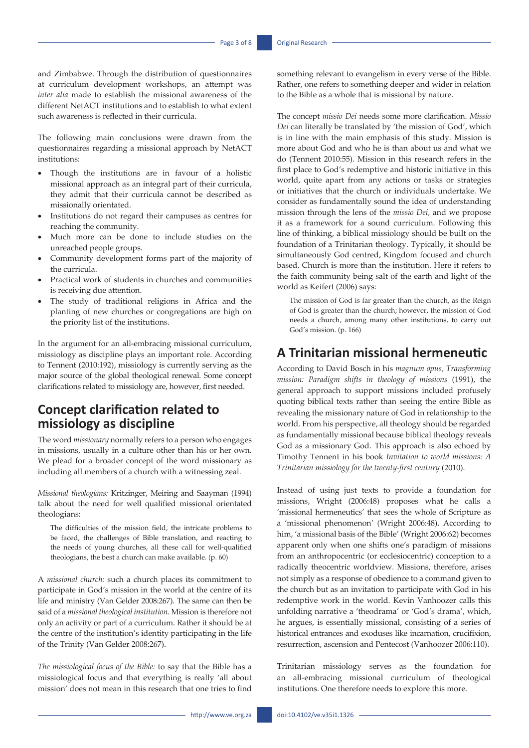and Zimbabwe. Through the distribution of questionnaires at curriculum development workshops, an attempt was *inter alia* made to establish the missional awareness of the different NetACT institutions and to establish to what extent such awareness is reflected in their curricula.

The following main conclusions were drawn from the questionnaires regarding a missional approach by NetACT institutions:

- Though the institutions are in favour of a holistic missional approach as an integral part of their curricula, they admit that their curricula cannot be described as missionally orientated.
- Institutions do not regard their campuses as centres for reaching the community.
- Much more can be done to include studies on the unreached people groups.
- Community development forms part of the majority of the curricula.
- Practical work of students in churches and communities is receiving due attention.
- The study of traditional religions in Africa and the planting of new churches or congregations are high on the priority list of the institutions.

In the argument for an all-embracing missional curriculum, missiology as discipline plays an important role. According to Tennent (2010:192), missiology is currently serving as the major source of the global theological renewal. Some concept clarifications related to missiology are, however, first needed.

## **Concept clarification related to missiology as discipline**

The word *missionary* normally refers to a person who engages in missions, usually in a culture other than his or her own. We plead for a broader concept of the word missionary as including all members of a church with a witnessing zeal.

*Missional theologians:* Kritzinger, Meiring and Saayman (1994) talk about the need for well qualified missional orientated theologians:

The difficulties of the mission field, the intricate problems to be faced, the challenges of Bible translation, and reacting to the needs of young churches, all these call for well-qualified theologians, the best a church can make available. (p. 60)

A *missional church:* such a church places its commitment to participate in God's mission in the world at the centre of its life and ministry (Van Gelder 2008:267). The same can then be said of a *missional theological institution*. Mission is therefore not only an activity or part of a curriculum. Rather it should be at the centre of the institution's identity participating in the life of the Trinity (Van Gelder 2008:267).

*The missiological focus of the Bible:* to say that the Bible has a missiological focus and that everything is really 'all about mission' does not mean in this research that one tries to find

something relevant to evangelism in every verse of the Bible. Rather, one refers to something deeper and wider in relation to the Bible as a whole that is missional by nature.

The concept *missio Dei* needs some more clarification. *Missio Dei* can literally be translated by 'the mission of God', which is in line with the main emphasis of this study. Mission is more about God and who he is than about us and what we do (Tennent 2010:55). Mission in this research refers in the first place to God's redemptive and historic initiative in this world, quite apart from any actions or tasks or strategies or initiatives that the church or individuals undertake. We consider as fundamentally sound the idea of understanding mission through the lens of the *missio Dei,* and we propose it as a framework for a sound curriculum. Following this line of thinking, a biblical missiology should be built on the foundation of a Trinitarian theology. Typically, it should be simultaneously God centred, Kingdom focused and church based. Church is more than the institution. Here it refers to the faith community being salt of the earth and light of the world as Keifert (2006) says:

The mission of God is far greater than the church, as the Reign of God is greater than the church; however, the mission of God needs a church, among many other institutions, to carry out God's mission. (p. 166)

### **A Trinitarian missional hermeneutic**

According to David Bosch in his *magnum opus, Transforming mission: Paradigm shifts in theology of missions* (1991), the general approach to support missions included profusely quoting biblical texts rather than seeing the entire Bible as revealing the missionary nature of God in relationship to the world. From his perspective, all theology should be regarded as fundamentally missional because biblical theology reveals God as a missionary God. This approach is also echoed by Timothy Tennent in his book *Invitation to world missions: A Trinitarian missiology for the twenty-first century* (2010).

Instead of using just texts to provide a foundation for missions, Wright (2006:48) proposes what he calls a 'missional hermeneutics' that sees the whole of Scripture as a 'missional phenomenon' (Wright 2006:48). According to him, 'a missional basis of the Bible' (Wright 2006:62) becomes apparent only when one shifts one's paradigm of missions from an anthropocentric (or ecclesiocentric) conception to a radically theocentric worldview. Missions, therefore, arises not simply as a response of obedience to a command given to the church but as an invitation to participate with God in his redemptive work in the world. Kevin Vanhoozer calls this unfolding narrative a 'theodrama' or 'God's drama', which, he argues, is essentially missional, consisting of a series of historical entrances and exoduses like incarnation, crucifixion, resurrection, ascension and Pentecost (Vanhoozer 2006:110).

Trinitarian missiology serves as the foundation for an all-embracing missional curriculum of theological institutions. One therefore needs to explore this more.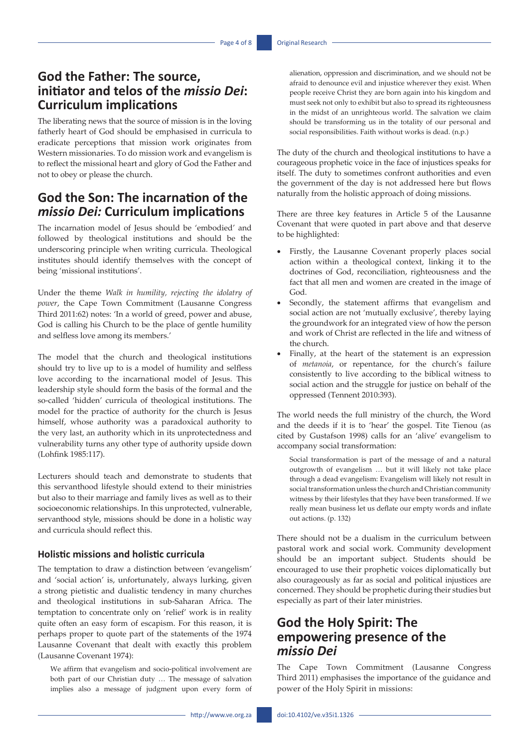## **God the Father: The source, initiator and telos of the** *missio Dei***: Curriculum implications**

The liberating news that the source of mission is in the loving fatherly heart of God should be emphasised in curricula to eradicate perceptions that mission work originates from Western missionaries. To do mission work and evangelism is to reflect the missional heart and glory of God the Father and not to obey or please the church.

## **God the Son: The incarnation of the**  *missio Dei:* **Curriculum implications**

The incarnation model of Jesus should be 'embodied' and followed by theological institutions and should be the underscoring principle when writing curricula. Theological institutes should identify themselves with the concept of being 'missional institutions'.

Under the theme *Walk in humility, rejecting the idolatry of power*, the Cape Town Commitment (Lausanne Congress Third 2011:62) notes: 'In a world of greed, power and abuse, God is calling his Church to be the place of gentle humility and selfless love among its members.'

The model that the church and theological institutions should try to live up to is a model of humility and selfless love according to the incarnational model of Jesus. This leadership style should form the basis of the formal and the so-called 'hidden' curricula of theological institutions. The model for the practice of authority for the church is Jesus himself, whose authority was a paradoxical authority to the very last, an authority which in its unprotectedness and vulnerability turns any other type of authority upside down (Lohfink 1985:117).

Lecturers should teach and demonstrate to students that this servanthood lifestyle should extend to their ministries but also to their marriage and family lives as well as to their socioeconomic relationships. In this unprotected, vulnerable, servanthood style, missions should be done in a holistic way and curricula should reflect this.

#### **Holistic missions and holistic curricula**

The temptation to draw a distinction between 'evangelism' and 'social action' is, unfortunately, always lurking, given a strong pietistic and dualistic tendency in many churches and theological institutions in sub-Saharan Africa. The temptation to concentrate only on 'relief' work is in reality quite often an easy form of escapism. For this reason, it is perhaps proper to quote part of the statements of the 1974 Lausanne Covenant that dealt with exactly this problem (Lausanne Covenant 1974):

We affirm that evangelism and socio-political involvement are both part of our Christian duty … The message of salvation implies also a message of judgment upon every form of

alienation, oppression and discrimination, and we should not be afraid to denounce evil and injustice wherever they exist. When people receive Christ they are born again into his kingdom and must seek not only to exhibit but also to spread its righteousness in the midst of an unrighteous world. The salvation we claim should be transforming us in the totality of our personal and social responsibilities. Faith without works is dead. (n.p.)

The duty of the church and theological institutions to have a courageous prophetic voice in the face of injustices speaks for itself. The duty to sometimes confront authorities and even the government of the day is not addressed here but flows naturally from the holistic approach of doing missions.

There are three key features in Article 5 of the Lausanne Covenant that were quoted in part above and that deserve to be highlighted:

- Firstly, the Lausanne Covenant properly places social action within a theological context, linking it to the doctrines of God, reconciliation, righteousness and the fact that all men and women are created in the image of God.
- • Secondly, the statement affirms that evangelism and social action are not 'mutually exclusive', thereby laying the groundwork for an integrated view of how the person and work of Christ are reflected in the life and witness of the church.
- Finally, at the heart of the statement is an expression of *metanoia*, or repentance, for the church's failure consistently to live according to the biblical witness to social action and the struggle for justice on behalf of the oppressed (Tennent 2010:393).

The world needs the full ministry of the church, the Word and the deeds if it is to 'hear' the gospel. Tite Tienou (as cited by Gustafson 1998) calls for an 'alive' evangelism to accompany social transformation:

Social transformation is part of the message of and a natural outgrowth of evangelism … but it will likely not take place through a dead evangelism: Evangelism will likely not result in social transformation unless the church and Christian community witness by their lifestyles that they have been transformed. If we really mean business let us deflate our empty words and inflate out actions. (p. 132)

There should not be a dualism in the curriculum between pastoral work and social work. Community development should be an important subject. Students should be encouraged to use their prophetic voices diplomatically but also courageously as far as social and political injustices are concerned. They should be prophetic during their studies but especially as part of their later ministries.

## **God the Holy Spirit: The empowering presence of the**  *missio Dei*

The Cape Town Commitment (Lausanne Congress Third 2011) emphasises the importance of the guidance and power of the Holy Spirit in missions: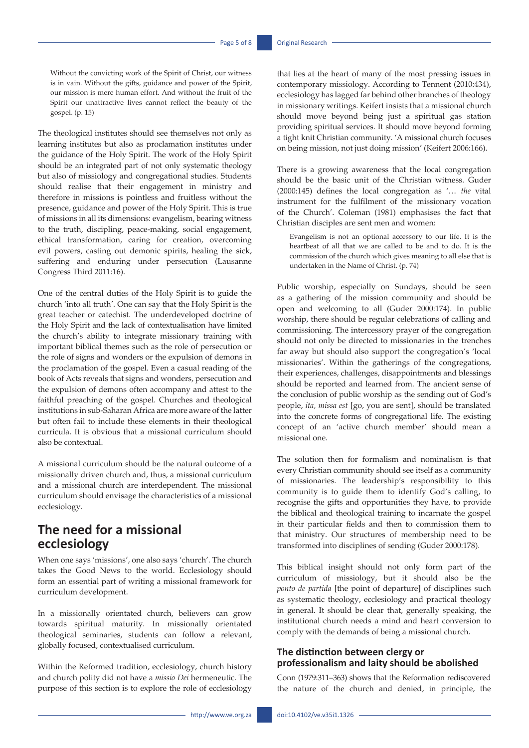Without the convicting work of the Spirit of Christ, our witness is in vain. Without the gifts, guidance and power of the Spirit, our mission is mere human effort. And without the fruit of the Spirit our unattractive lives cannot reflect the beauty of the gospel. (p. 15)

The theological institutes should see themselves not only as learning institutes but also as proclamation institutes under the guidance of the Holy Spirit. The work of the Holy Spirit should be an integrated part of not only systematic theology but also of missiology and congregational studies. Students should realise that their engagement in ministry and therefore in missions is pointless and fruitless without the presence, guidance and power of the Holy Spirit. This is true of missions in all its dimensions: evangelism, bearing witness to the truth, discipling, peace-making, social engagement, ethical transformation, caring for creation, overcoming evil powers, casting out demonic spirits, healing the sick, suffering and enduring under persecution (Lausanne Congress Third 2011:16).

One of the central duties of the Holy Spirit is to guide the church 'into all truth'. One can say that the Holy Spirit is the great teacher or catechist. The underdeveloped doctrine of the Holy Spirit and the lack of contextualisation have limited the church's ability to integrate missionary training with important biblical themes such as the role of persecution or the role of signs and wonders or the expulsion of demons in the proclamation of the gospel. Even a casual reading of the book of Acts reveals that signs and wonders, persecution and the expulsion of demons often accompany and attest to the faithful preaching of the gospel. Churches and theological institutions in sub-Saharan Africa are more aware of the latter but often fail to include these elements in their theological curricula. It is obvious that a missional curriculum should also be contextual.

A missional curriculum should be the natural outcome of a missionally driven church and, thus, a missional curriculum and a missional church are interdependent. The missional curriculum should envisage the characteristics of a missional ecclesiology.

### **The need for a missional ecclesiology**

When one says 'missions', one also says 'church'. The church takes the Good News to the world. Ecclesiology should form an essential part of writing a missional framework for curriculum development.

In a missionally orientated church, believers can grow towards spiritual maturity. In missionally orientated theological seminaries, students can follow a relevant, globally focused, contextualised curriculum.

Within the Reformed tradition, ecclesiology, church history and church polity did not have a *missio Dei* hermeneutic. The purpose of this section is to explore the role of ecclesiology

that lies at the heart of many of the most pressing issues in contemporary missiology. According to Tennent (2010:434), ecclesiology has lagged far behind other branches of theology in missionary writings. Keifert insists that a missional church should move beyond being just a spiritual gas station providing spiritual services. It should move beyond forming a tight knit Christian community. 'A missional church focuses on being mission, not just doing mission' (Keifert 2006:166).

There is a growing awareness that the local congregation should be the basic unit of the Christian witness. Guder (2000:145) defines the local congregation as '… *the* vital instrument for the fulfilment of the missionary vocation of the Church'. Coleman (1981) emphasises the fact that Christian disciples are sent men and women:

Evangelism is not an optional accessory to our life. It is the heartbeat of all that we are called to be and to do. It is the commission of the church which gives meaning to all else that is undertaken in the Name of Christ. (p. 74)

Public worship, especially on Sundays, should be seen as a gathering of the mission community and should be open and welcoming to all (Guder 2000:174). In public worship, there should be regular celebrations of calling and commissioning. The intercessory prayer of the congregation should not only be directed to missionaries in the trenches far away but should also support the congregation's 'local missionaries'. Within the gatherings of the congregations, their experiences, challenges, disappointments and blessings should be reported and learned from. The ancient sense of the conclusion of public worship as the sending out of God's people, *ita, missa est* [go, you are sent], should be translated into the concrete forms of congregational life. The existing concept of an 'active church member' should mean a missional one.

The solution then for formalism and nominalism is that every Christian community should see itself as a community of missionaries. The leadership's responsibility to this community is to guide them to identify God's calling, to recognise the gifts and opportunities they have, to provide the biblical and theological training to incarnate the gospel in their particular fields and then to commission them to that ministry. Our structures of membership need to be transformed into disciplines of sending (Guder 2000:178).

This biblical insight should not only form part of the curriculum of missiology, but it should also be the *ponto de partida* [the point of departure] of disciplines such as systematic theology, ecclesiology and practical theology in general. It should be clear that, generally speaking, the institutional church needs a mind and heart conversion to comply with the demands of being a missional church.

#### **The distinction between clergy or professionalism and laity should be abolished**

Conn (1979:311–363) shows that the Reformation rediscovered the nature of the church and denied, in principle, the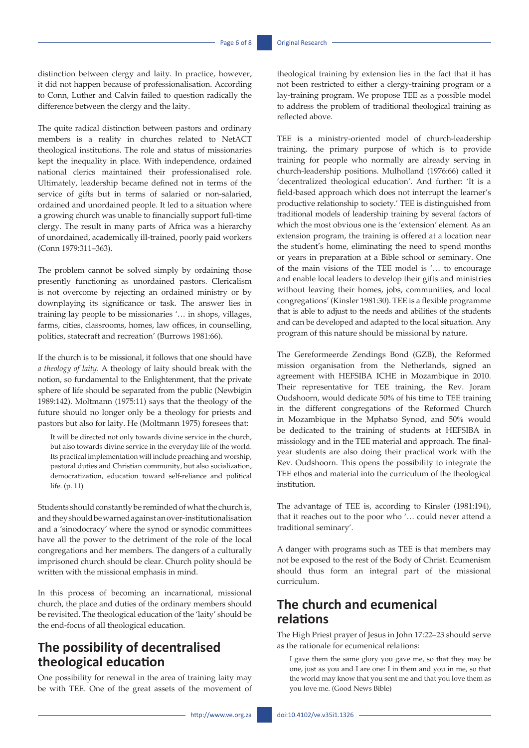distinction between clergy and laity. In practice, however, it did not happen because of professionalisation. According to Conn, Luther and Calvin failed to question radically the difference between the clergy and the laity.

The quite radical distinction between pastors and ordinary members is a reality in churches related to NetACT theological institutions. The role and status of missionaries kept the inequality in place. With independence, ordained national clerics maintained their professionalised role. Ultimately, leadership became defined not in terms of the service of gifts but in terms of salaried or non-salaried, ordained and unordained people. It led to a situation where a growing church was unable to financially support full-time clergy. The result in many parts of Africa was a hierarchy of unordained, academically ill-trained, poorly paid workers (Conn 1979:311–363).

The problem cannot be solved simply by ordaining those presently functioning as unordained pastors. Clericalism is not overcome by rejecting an ordained ministry or by downplaying its significance or task. The answer lies in training lay people to be missionaries '… in shops, villages, farms, cities, classrooms, homes, law offices, in counselling, politics, statecraft and recreation' (Burrows 1981:66).

If the church is to be missional, it follows that one should have *a theology of laity*. A theology of laity should break with the notion, so fundamental to the Enlightenment, that the private sphere of life should be separated from the public (Newbigin 1989:142). Moltmann (1975:11) says that the theology of the future should no longer only be a theology for priests and pastors but also for laity. He (Moltmann 1975) foresees that:

It will be directed not only towards divine service in the church, but also towards divine service in the everyday life of the world. Its practical implementation will include preaching and worship, pastoral duties and Christian community, but also socialization, democratization, education toward self-reliance and political life. (p. 11)

Students should constantly be reminded of what the church is, and they should be warned against an over-institutionalisation and a 'sinodocracy' where the synod or synodic committees have all the power to the detriment of the role of the local congregations and her members. The dangers of a culturally imprisoned church should be clear. Church polity should be written with the missional emphasis in mind.

In this process of becoming an incarnational, missional church, the place and duties of the ordinary members should be revisited. The theological education of the 'laity' should be the end-focus of all theological education.

## **The possibility of decentralised theological education**

One possibility for renewal in the area of training laity may be with TEE. One of the great assets of the movement of theological training by extension lies in the fact that it has not been restricted to either a clergy-training program or a lay-training program. We propose TEE as a possible model to address the problem of traditional theological training as reflected above.

TEE is a ministry-oriented model of church-leadership training, the primary purpose of which is to provide training for people who normally are already serving in church-leadership positions. Mulholland (1976:66) called it 'decentralized theological education'. And further: 'It is a field-based approach which does not interrupt the learner's productive relationship to society.' TEE is distinguished from traditional models of leadership training by several factors of which the most obvious one is the 'extension' element. As an extension program, the training is offered at a location near the student's home, eliminating the need to spend months or years in preparation at a Bible school or seminary. One of the main visions of the TEE model is '… to encourage and enable local leaders to develop their gifts and ministries without leaving their homes, jobs, communities, and local congregations' (Kinsler 1981:30). TEE is a flexible programme that is able to adjust to the needs and abilities of the students and can be developed and adapted to the local situation. Any program of this nature should be missional by nature.

The Gereformeerde Zendings Bond (GZB), the Reformed mission organisation from the Netherlands, signed an agreement with HEFSIBA ICHE in Mozambique in 2010. Their representative for TEE training, the Rev. Joram Oudshoorn, would dedicate 50% of his time to TEE training in the different congregations of the Reformed Church in Mozambique in the Mphatso Synod, and 50% would be dedicated to the training of students at HEFSIBA in missiology and in the TEE material and approach. The finalyear students are also doing their practical work with the Rev. Oudshoorn. This opens the possibility to integrate the TEE ethos and material into the curriculum of the theological institution.

The advantage of TEE is, according to Kinsler (1981:194), that it reaches out to the poor who '… could never attend a traditional seminary'.

A danger with programs such as TEE is that members may not be exposed to the rest of the Body of Christ. Ecumenism should thus form an integral part of the missional curriculum.

### **The church and ecumenical relations**

The High Priest prayer of Jesus in John 17:22–23 should serve as the rationale for ecumenical relations:

I gave them the same glory you gave me, so that they may be one, just as you and I are one: I in them and you in me, so that the world may know that you sent me and that you love them as you love me. (Good News Bible)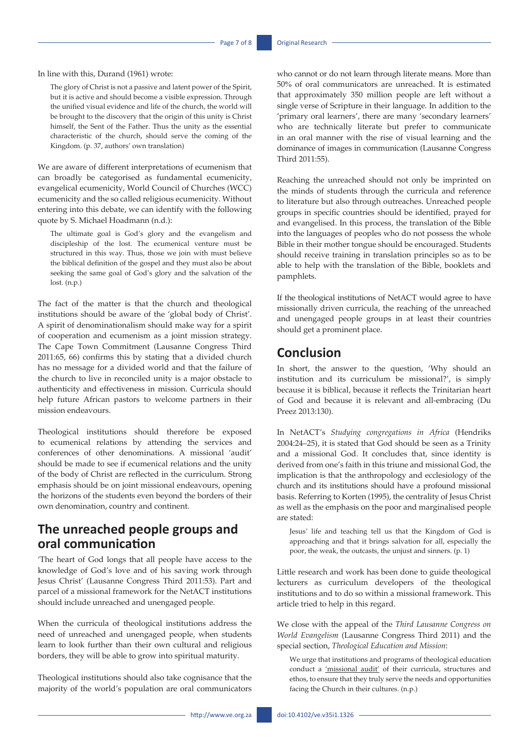In line with this, Durand (1961) wrote:

The glory of Christ is not a passive and latent power of the Spirit, but it is active and should become a visible expression. Through the unified visual evidence and life of the church, the world will be brought to the discovery that the origin of this unity is Christ himself, the Sent of the Father. Thus the unity as the essential characteristic of the church, should serve the coming of the Kingdom. (p. 37, authors' own translation)

We are aware of different interpretations of ecumenism that can broadly be categorised as fundamental ecumenicity, evangelical ecumenicity, World Council of Churches (WCC) ecumenicity and the so called religious ecumenicity. Without entering into this debate, we can identify with the following quote by S. Michael Hoadmann (n.d.):

The ultimate goal is God's glory and the evangelism and discipleship of the lost. The ecumenical venture must be structured in this way. Thus, those we join with must believe the biblical definition of the gospel and they must also be about seeking the same goal of God's glory and the salvation of the lost. (n.p.)

The fact of the matter is that the church and theological institutions should be aware of the 'global body of Christ'. A spirit of denominationalism should make way for a spirit of cooperation and ecumenism as a joint mission strategy. The Cape Town Commitment (Lausanne Congress Third 2011:65, 66) confirms this by stating that a divided church has no message for a divided world and that the failure of the church to live in reconciled unity is a major obstacle to authenticity and effectiveness in mission. Curricula should help future African pastors to welcome partners in their mission endeavours.

Theological institutions should therefore be exposed to ecumenical relations by attending the services and conferences of other denominations. A missional 'audit' should be made to see if ecumenical relations and the unity of the body of Christ are reflected in the curriculum. Strong emphasis should be on joint missional endeavours, opening the horizons of the students even beyond the borders of their own denomination, country and continent.

### **The unreached people groups and oral communication**

'The heart of God longs that all people have access to the knowledge of God's love and of his saving work through Jesus Christ' (Lausanne Congress Third 2011:53). Part and parcel of a missional framework for the NetACT institutions should include unreached and unengaged people.

When the curricula of theological institutions address the need of unreached and unengaged people, when students learn to look further than their own cultural and religious borders, they will be able to grow into spiritual maturity.

Theological institutions should also take cognisance that the majority of the world's population are oral communicators who cannot or do not learn through literate means. More than 50% of oral communicators are unreached. It is estimated that approximately 350 million people are left without a single verse of Scripture in their language. In addition to the 'primary oral learners', there are many 'secondary learners' who are technically literate but prefer to communicate in an oral manner with the rise of visual learning and the dominance of images in communication (Lausanne Congress Third 2011:55).

Reaching the unreached should not only be imprinted on the minds of students through the curricula and reference to literature but also through outreaches. Unreached people groups in specific countries should be identified, prayed for and evangelised. In this process, the translation of the Bible into the languages of peoples who do not possess the whole Bible in their mother tongue should be encouraged. Students should receive training in translation principles so as to be able to help with the translation of the Bible, booklets and pamphlets.

If the theological institutions of NetACT would agree to have missionally driven curricula, the reaching of the unreached and unengaged people groups in at least their countries should get a prominent place.

#### **Conclusion**

In short, the answer to the question, 'Why should an institution and its curriculum be missional?', is simply because it is biblical, because it reflects the Trinitarian heart of God and because it is relevant and all-embracing (Du Preez 2013:130).

In NetACT's *Studying congregations in Africa* (Hendriks 2004:24–25), it is stated that God should be seen as a Trinity and a missional God. It concludes that, since identity is derived from one's faith in this triune and missional God, the implication is that the anthropology and ecclesiology of the church and its institutions should have a profound missional basis. Referring to Korten (1995), the centrality of Jesus Christ as well as the emphasis on the poor and marginalised people are stated:

Jesus' life and teaching tell us that the Kingdom of God is approaching and that it brings salvation for all, especially the poor, the weak, the outcasts, the unjust and sinners. (p. 1)

Little research and work has been done to guide theological lecturers as curriculum developers of the theological institutions and to do so within a missional framework. This article tried to help in this regard.

We close with the appeal of the *Third Lausanne Congress on World Evangelism* (Lausanne Congress Third 2011) and the special section, *Theological Education and Mission*:

We urge that institutions and programs of theological education conduct a 'missional audit' of their curricula, structures and ethos, to ensure that they truly serve the needs and opportunities facing the Church in their cultures. (n.p.)